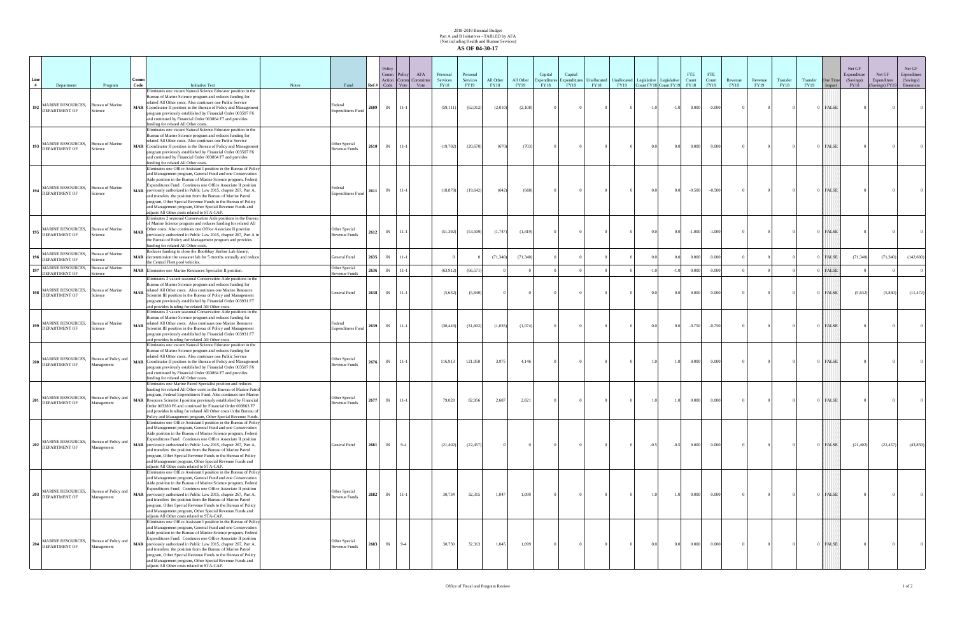## 2018-2019 Biennial Budget Part A and B Initiatives - TABLED by AFA (Not including Health and Human Services) **AS OF 04-30-17**

| # | Department                                                             | Program                            | Comm<br>Code | <b>Initiative Text</b>                                                                                                                                                                                                                                                                                                                                                                                                                                                                                                                                                           | <b>Notes</b> | Fund                                  | Policy<br>Comm<br>Action<br>Ref#<br>Code | <b>Policy</b><br>Comn<br>Vote | AFA<br>Committe<br>Vote | Personal<br>Services<br><b>FY18</b> | Personal<br>Services<br><b>FY19</b> | All Other<br><b>FY18</b> | All Other<br>FY19 | Capital<br>Expenditures<br><b>FY18</b> | Capital<br>Expenditures<br>FY19 | Unallocated<br><b>FY18</b> | Unallocated Legislative Legislative<br>FY19 |        | Count FY18 Count FY19 | <b>FTE</b><br>Count<br><b>FY18</b> | FTE<br>Count<br><b>FY19</b> | Revenue<br><b>FY18</b> | Revenue<br>FY19 | Transfer<br><b>FY18</b> | Transfer<br>FY19 | One Time<br>Impact | Net GF<br>Expenditure<br>(Savings)<br><b>FY18</b> | Net GF<br>Expenditure<br>(Savings) FY19 | Net GF<br>Espenditure<br>(Savings)<br>Biennium |
|---|------------------------------------------------------------------------|------------------------------------|--------------|----------------------------------------------------------------------------------------------------------------------------------------------------------------------------------------------------------------------------------------------------------------------------------------------------------------------------------------------------------------------------------------------------------------------------------------------------------------------------------------------------------------------------------------------------------------------------------|--------------|---------------------------------------|------------------------------------------|-------------------------------|-------------------------|-------------------------------------|-------------------------------------|--------------------------|-------------------|----------------------------------------|---------------------------------|----------------------------|---------------------------------------------|--------|-----------------------|------------------------------------|-----------------------------|------------------------|-----------------|-------------------------|------------------|--------------------|---------------------------------------------------|-----------------------------------------|------------------------------------------------|
|   | MARINE RESOURCES, Bureau of Marine<br>192 DEPARTMENT OF                | Science                            |              | liminates one vacant Natural Science Educator position in the<br>Bureau of Marine Science program and reduces funding for<br>elated All Other costs. Also continues one Public Service<br>MAR Coordinator II position in the Bureau of Policy and Management<br>program previously established by Financial Order 003507 F6<br>and continued by Financial Order 003864 F7 and provides<br>unding for related All Other costs.                                                                                                                                                    |              | ederal<br><b>Expenditures Fund</b>    | IN<br>2609                               | $11 - 1$                      |                         | (59, 111)                           | (62, 012)                           | (2,010)                  | (2,108)           |                                        |                                 |                            |                                             | $-1.0$ | $-1.0$                | 0.000                              | 0.000                       |                        | $\Omega$        |                         |                  | 0 FALSE            |                                                   |                                         |                                                |
|   | <b>MARINE RESOURCES,</b><br>193 DEPARTMENT OF                          | <b>Bureau of Marine</b><br>Science |              | liminates one vacant Natural Science Educator position in the<br>Bureau of Marine Science program and reduces funding for<br>related All Other costs. Also continues one Public Service<br>MAR Coordinator II position in the Bureau of Policy and Managemen<br>program previously established by Financial Order 003507 F6<br>and continued by Financial Order 003864 F7 and provides<br>unding for related All Other costs.                                                                                                                                                    |              | Other Special<br>Revenue Funds        | 2610<br>IN                               | $11 - 1$                      |                         | (19,702)                            | (20,670)                            | (670)                    | (703)             |                                        |                                 |                            |                                             | 0.0    | 0.0                   | 0.000                              | 0.000                       |                        |                 |                         |                  | 0 FALSE            |                                                   |                                         |                                                |
|   | <b>MARINE RESOURCES,</b><br>194 DEPARTMENT OF                          | <b>Bureau of Marine</b><br>Science |              | Eliminates one Office Assistant I position in the Bureau of Policy<br>and Management program, General Fund and one Conservation<br>Aide position in the Bureau of Marine Science program, Federal<br>Expenditures Fund. Continues one Office Associate II position<br>MAR previously authorized in Public Law 2015, chapter 267, Part A,<br>and transfers the position from the Bureau of Marine Patrol<br>program, Other Special Revenue Funds to the Bureau of Policy<br>and Management program, Other Special Revenue Funds and<br>djusts All Other costs related to STA-CAP. |              | ederal<br><b>Expenditures Fund</b>    | 2611<br>IN                               | $11 - 1$                      |                         | (18, 879)                           | (19,642)                            | (642)                    | (668)             |                                        |                                 |                            |                                             | 0.0    | 0.0                   | $-0.500$                           | $-0.500$                    |                        |                 |                         |                  | 0 FALSE            |                                                   |                                         |                                                |
|   | <b>MARINE RESOURCES,</b><br>195 DEPARTMENT OF                          | <b>Bureau of Marine</b><br>Science | <b>MAR</b>   | Eliminates 2 seasonal Conservation Aide positions in the Bureau<br>of Marine Science program and reduces funding for related All<br>Other costs. Also continues one Office Associate II position<br>previously authorized in Public Law 2015, chapter 267, Part A in<br>the Bureau of Policy and Management program and provides<br>unding for related All Other costs.                                                                                                                                                                                                          |              | Other Special<br>Revenue Funds        | IN<br>2612                               | $11 - 1$                      |                         | (51, 392)                           | (53,509)                            | (1,747)                  | (1,819)           |                                        |                                 |                            |                                             |        | 0.0                   | $-1.000$                           | $-1.000$                    |                        |                 |                         |                  | 0 FALSE            |                                                   |                                         |                                                |
|   | <b>MARINE RESOURCES,</b><br>DEPARTMENT OF                              | <b>Bureau of Marine</b><br>cience  |              | Reduces funding to close the Boothbay Harbor Lab library,<br>MAR decommission the seawater lab for 5 months annually and reduce<br>the Central Fleet pool vehicles.                                                                                                                                                                                                                                                                                                                                                                                                              |              | General Fund                          | IN<br>2635                               | $11 - 1$                      |                         |                                     |                                     | (71, 340)                | (71, 340)         |                                        |                                 |                            |                                             | 0.0    | 0.0                   | 0.000                              | 0.000                       |                        |                 |                         |                  | FALSE              | (71, 340)                                         | (71, 340)                               | (142, 680)                                     |
|   | <b>MARINE RESOURCES,</b><br><b>DEPARTMENT OF</b>                       | Bureau of Marine<br>cience         |              | MAR Eliminates one Marine Resources Specialist II position.                                                                                                                                                                                                                                                                                                                                                                                                                                                                                                                      |              | Other Special<br>evenue Funds         | 2636<br>$\ensuremath{\text{IN}}\xspace$  | $11 - 1$                      |                         | (63, 912)                           | (66, 571)                           |                          |                   |                                        |                                 |                            |                                             |        |                       | 0.000                              | 0.000                       |                        |                 |                         |                  | FALSE              |                                                   |                                         |                                                |
|   | 198 MARINE RESOURCES,<br>DEPARTMENT OF                                 | <b>Bureau of Marine</b><br>Science | <b>MAR</b>   | liminates 2 vacant seasonal Conservation Aide positions in the<br>Bureau of Marine Science program and reduces funding for<br>related All Other costs. Also continues one Marine Resource<br>Scientist III position in the Bureau of Policy and Management<br>program previously established by Financial Order 003931 F7<br>nd provides funding for related All Other costs.                                                                                                                                                                                                    |              | General Fund                          | 2638<br>IN                               | $11 - 1$                      |                         | (5,632)                             | (5,840)                             |                          |                   |                                        |                                 |                            |                                             | 0.0    | 0.0                   | 0.000                              | 0.000                       |                        |                 |                         |                  | 0 FALSE            | (5,632)                                           | (5,840)                                 | (11, 472)                                      |
|   | <b>MARINE RESOURCES,</b><br>199 DEPARTMENT OF                          | <b>Bureau of Marine</b><br>Science | <b>MAR</b>   | liminates 2 vacant seasonal Conservation Aide positions in the<br>Bureau of Marine Science program and reduces funding for<br>related All Other costs. Also continues one Marine Resource<br>Scientist III position in the Bureau of Policy and Management<br>program previously established by Financial Order 003931 F7<br>nd provides funding for related All Other costs.                                                                                                                                                                                                    |              | Federal<br><b>Expenditures Fund</b>   | IN<br>2639                               | $11 - 1$                      |                         | (30, 443)                           | (31,602)                            | (1,035)                  | (1,074)           |                                        |                                 |                            |                                             |        | 0.0                   | $-0.750$                           | $-0.750$                    |                        |                 |                         |                  | ) FALSE            |                                                   |                                         |                                                |
|   | 200 MARINE RESOURCES,<br>DEPARTMENT OF                                 | Bureau of Policy and<br>Management |              | Eliminates one vacant Natural Science Educator position in the<br>Bureau of Marine Science program and reduces funding for<br>related All Other costs. Also continues one Public Service<br>MAR Coordinator II position in the Bureau of Policy and Managemen<br>program previously established by Financial Order 003507 F6<br>and continued by Financial Order 003864 F7 and provides<br>inding for related All Other costs.                                                                                                                                                   |              | Other Special<br>Revenue Funds        | IN<br>2676                               | $11 - 1$                      |                         | 116,913                             | 121,950                             | 3,975                    | 4,146             |                                        |                                 |                            |                                             |        | 1.0                   | 0.000                              | 0.000                       |                        |                 |                         |                  | 0 FALSE            |                                                   |                                         |                                                |
|   | 201 MARINE RESOURCES, Bureau of Policy and<br>DEPARTMENT OF Management |                                    |              | Eliminates one Marine Patrol Specialist position and reduces<br>unding for related All Other costs in the Bureau of Marine Patr<br>program, Federal Expenditures Fund. Also continues one Marine<br>MAR Resource Scientist I position previously established by Financial<br>Order 003380 F6 and continued by Financial Order 003863 F7<br>and provides funding for related All Other costs in the Bureau of<br>Policy and Management program, Other Special Revenue Funds.                                                                                                      |              | Other Special<br><b>Revenue Funds</b> | IN<br>2677                               | $11 - 1$                      |                         | 79,028                              | 82,956                              | 2,687                    | 2,821             |                                        |                                 |                            |                                             | 1.0    | 1.0                   | 0.000                              | 0.000                       | $\overline{0}$         |                 |                         |                  | $0$ FALSE          |                                                   |                                         |                                                |
|   | <b>MARINE RESOURCES,</b><br>202 DEPARTMENT OF                          | Bureau of Policy and<br>Management |              | liminates one Office Assistant I position in the Bureau of Policy<br>and Management program, General Fund and one Conservation<br>Aide position in the Bureau of Marine Science program, Federal<br>Expenditures Fund. Continues one Office Associate II position<br>MAR previously authorized in Public Law 2015, chapter 267, Part A,<br>and transfers the position from the Bureau of Marine Patrol<br>program, Other Special Revenue Funds to the Bureau of Policy<br>and Management program, Other Special Revenue Funds and<br>djusts All Other costs related to STA-CAP.  |              | General Fund                          | IN<br>2681                               | $9 - 4$                       |                         | (21, 402)                           | (22, 457)                           | $\overline{0}$           |                   |                                        |                                 |                            | $\Omega$                                    | $-0.5$ | $-0.5$                | 0.000                              | 0.000                       |                        |                 |                         |                  | 0 FALSE            | (21, 402)                                         | (22, 457)                               | (43, 859)                                      |
|   | MARINE RESOURCES, Bureau of Policy and<br>203 DEPARTMENT OF            | Management                         |              | Eliminates one Office Assistant I position in the Bureau of Policy<br>and Management program, General Fund and one Conservation<br>Aide position in the Bureau of Marine Science program, Federal<br>Expenditures Fund. Continues one Office Associate II position<br>MAR previously authorized in Public Law 2015, chapter 267, Part A,<br>and transfers the position from the Bureau of Marine Patrol<br>program, Other Special Revenue Funds to the Bureau of Policy<br>and Management program, Other Special Revenue Funds and<br>djusts All Other costs related to STA-CAP. |              | Other Special<br>Revenue Funds        | IN<br>2682                               | $11 - 1$                      |                         | 30,734                              | 32,315                              | 1,047                    | 1,099             |                                        |                                 |                            |                                             | -1.0   | 1.0                   | 0.000                              | 0.000                       |                        |                 |                         |                  | 0 FALSE            |                                                   |                                         |                                                |
|   | <b>MARINE RESOURCES,</b><br>204 DEPARTMENT OF                          | Bureau of Policy and<br>Management |              | Eliminates one Office Assistant I position in the Bureau of Policy<br>and Management program, General Fund and one Conservation<br>Aide position in the Bureau of Marine Science program, Federal<br>Expenditures Fund. Continues one Office Associate II position<br>MAR previously authorized in Public Law 2015, chapter 267, Part A,<br>and transfers the position from the Bureau of Marine Patrol<br>program, Other Special Revenue Funds to the Bureau of Policy<br>and Management program, Other Special Revenue Funds and<br>djusts All Other costs related to STA-CAP. |              | Other Special<br>Revenue Funds        | IN<br>2683                               | $9 - 4$                       |                         | 30,730                              | 32,313                              | 1,045                    | 1,099             |                                        |                                 |                            |                                             | 0.0    | 0.0                   | 0.000                              | 0.000                       |                        |                 |                         |                  | 0 FALSE            |                                                   |                                         | $\overline{0}$                                 |